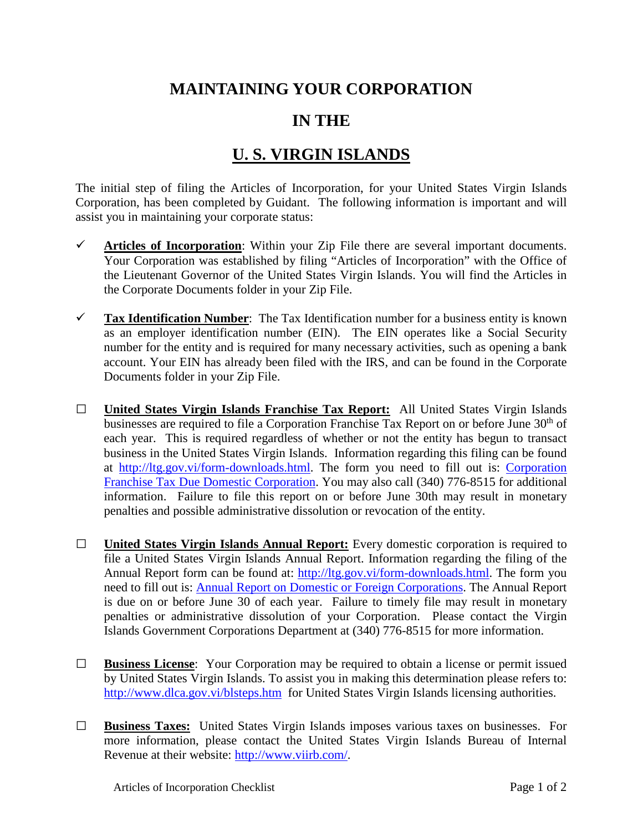## **MAINTAINING YOUR CORPORATION**

## **IN THE**

## **U. S. VIRGIN ISLANDS**

The initial step of filing the Articles of Incorporation, for your United States Virgin Islands Corporation, has been completed by Guidant. The following information is important and will assist you in maintaining your corporate status:

- $\checkmark$  Articles of Incorporation: Within your Zip File there are several important documents. Your Corporation was established by filing "Articles of Incorporation" with the Office of the Lieutenant Governor of the United States Virgin Islands. You will find the Articles in the Corporate Documents folder in your Zip File.
- **Tax Identification Number**: The Tax Identification number for a business entity is known as an employer identification number (EIN). The EIN operates like a Social Security number for the entity and is required for many necessary activities, such as opening a bank account. Your EIN has already been filed with the IRS, and can be found in the Corporate Documents folder in your Zip File.
- **□ United States Virgin Islands Franchise Tax Report:** All United States Virgin Islands businesses are required to file a Corporation Franchise Tax Report on or before June 30<sup>th</sup> of each year. This is required regardless of whether or not the entity has begun to transact business in the United States Virgin Islands. Information regarding this filing can be found at [http://ltg.gov.vi/form-downloads.html.](http://ltg.gov.vi/form-downloads.html) The form you need to fill out is: [Corporation](http://ltg.gov.vi/downloads/forms/Domestic_Franchise_Tax_Report.pdf)  [Franchise Tax Due Domestic Corporation.](http://ltg.gov.vi/downloads/forms/Domestic_Franchise_Tax_Report.pdf) You may also call (340) 776-8515 for additional information. Failure to file this report on or before June 30th may result in monetary penalties and possible administrative dissolution or revocation of the entity.
- **□ United States Virgin Islands Annual Report:** Every domestic corporation is required to file a United States Virgin Islands Annual Report. Information regarding the filing of the Annual Report form can be found at: [http://ltg.gov.vi/form-downloads.html.](http://ltg.gov.vi/form-downloads.html) The form you need to fill out is: [Annual Report on Domestic or Foreign Corporations.](http://ltg.gov.vi/downloads/forms/Domestic_Foreign_Corporation_Annual_Report.pdf) The Annual Report is due on or before June 30 of each year. Failure to timely file may result in monetary penalties or administrative dissolution of your Corporation. Please contact the Virgin Islands Government Corporations Department at (340) 776-8515 for more information.
- **□ Business License**: Your Corporation may be required to obtain a license or permit issued by United States Virgin Islands. To assist you in making this determination please refers to: <http://www.dlca.gov.vi/blsteps.htm> for United States Virgin Islands licensing authorities.
- **□ Business Taxes:** United States Virgin Islands imposes various taxes on businesses. For more information, please contact the United States Virgin Islands Bureau of Internal Revenue at their website: [http://www.viirb.com/.](http://www.viirb.com/)